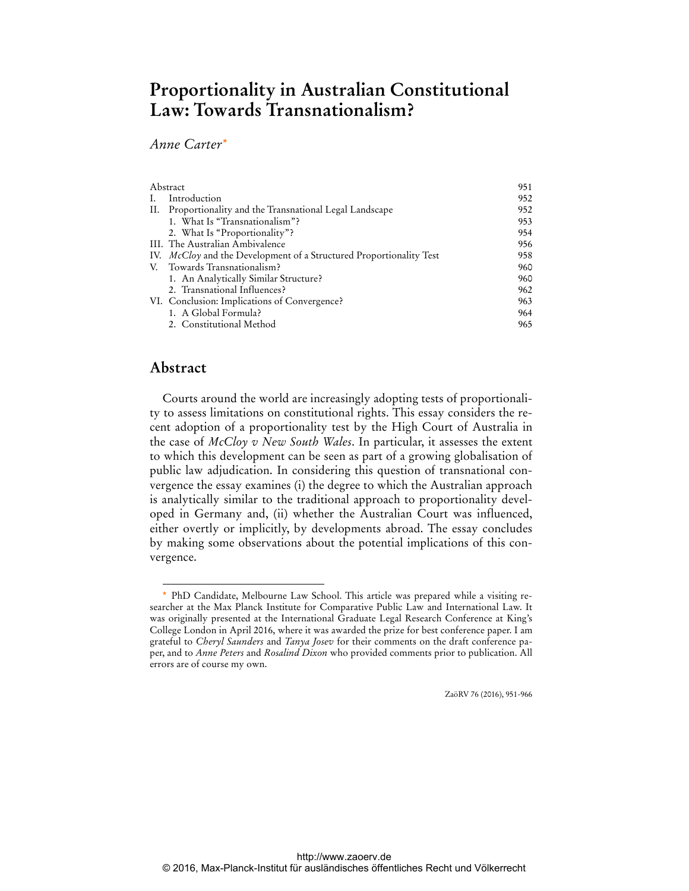# **Proportionality in Australian Constitutional Law: Towards Transnationalism?**

*Anne Carter\**

| <b>Abstract</b> |                                                                       | 951 |
|-----------------|-----------------------------------------------------------------------|-----|
|                 | Introduction                                                          | 952 |
| Н.              | Proportionality and the Transnational Legal Landscape                 | 952 |
|                 | 1. What Is "Transnationalism"?                                        | 953 |
|                 | 2. What Is "Proportionality"?                                         | 954 |
|                 | III. The Australian Ambivalence                                       | 956 |
|                 | IV. $McCloy$ and the Development of a Structured Proportionality Test | 958 |
| V.              | Towards Transnationalism?                                             | 960 |
|                 | 1. An Analytically Similar Structure?                                 | 960 |
|                 | 2. Transnational Influences?                                          | 962 |
|                 | VI. Conclusion: Implications of Convergence?                          | 963 |
|                 | 1. A Global Formula?                                                  | 964 |
|                 | 2. Constitutional Method                                              | 965 |

## **Abstract**

 $\overline{a}$ 

Courts around the world are increasingly adopting tests of proportionality to assess limitations on constitutional rights. This essay considers the recent adoption of a proportionality test by the High Court of Australia in the case of *McCloy v New South Wales*. In particular, it assesses the extent to which this development can be seen as part of a growing globalisation of public law adjudication. In considering this question of transnational convergence the essay examines (i) the degree to which the Australian approach is analytically similar to the traditional approach to proportionality developed in Germany and, (ii) whether the Australian Court was influenced, either overtly or implicitly, by developments abroad. The essay concludes by making some observations about the potential implications of this convergence.

ZaöRV 76 (2016), 951-966

<sup>\*</sup> PhD Candidate, Melbourne Law School. This article was prepared while a visiting researcher at the Max Planck Institute for Comparative Public Law and International Law. It was originally presented at the International Graduate Legal Research Conference at King's College London in April 2016, where it was awarded the prize for best conference paper. I am grateful to *Cheryl Saunders* and *Tanya Josev* for their comments on the draft conference paper, and to *Anne Peters* and *Rosalind Dixon* who provided comments prior to publication. All errors are of course my own.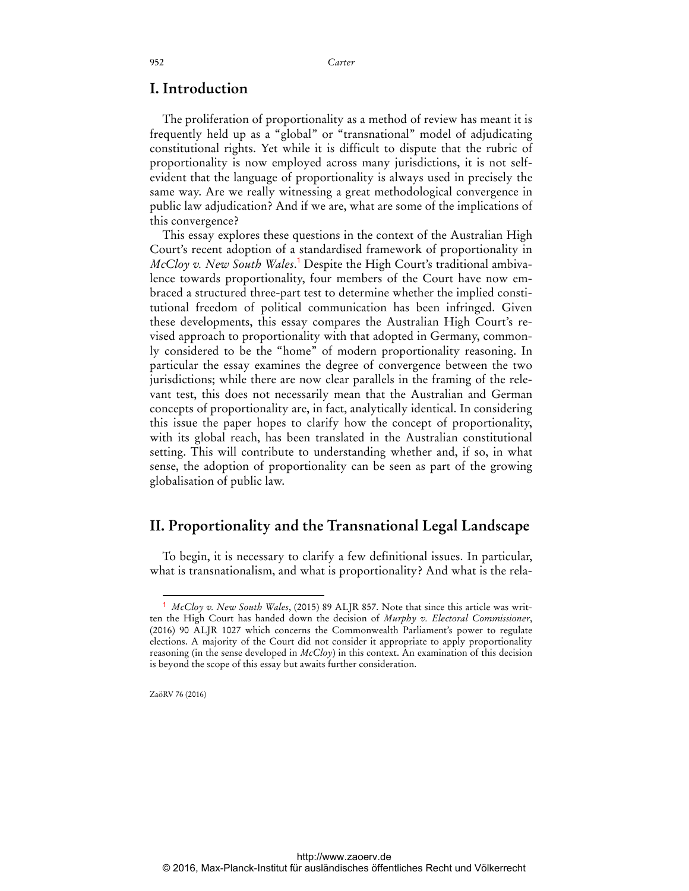#### **I. Introduction**

The proliferation of proportionality as a method of review has meant it is frequently held up as a "global" or "transnational" model of adjudicating constitutional rights. Yet while it is difficult to dispute that the rubric of proportionality is now employed across many jurisdictions, it is not selfevident that the language of proportionality is always used in precisely the same way. Are we really witnessing a great methodological convergence in public law adjudication? And if we are, what are some of the implications of this convergence?

This essay explores these questions in the context of the Australian High Court's recent adoption of a standardised framework of proportionality in *McCloy v. New South Wales*. <sup>1</sup> Despite the High Court's traditional ambivalence towards proportionality, four members of the Court have now embraced a structured three-part test to determine whether the implied constitutional freedom of political communication has been infringed. Given these developments, this essay compares the Australian High Court's revised approach to proportionality with that adopted in Germany, commonly considered to be the "home" of modern proportionality reasoning. In particular the essay examines the degree of convergence between the two jurisdictions; while there are now clear parallels in the framing of the relevant test, this does not necessarily mean that the Australian and German concepts of proportionality are, in fact, analytically identical. In considering this issue the paper hopes to clarify how the concept of proportionality, with its global reach, has been translated in the Australian constitutional setting. This will contribute to understanding whether and, if so, in what sense, the adoption of proportionality can be seen as part of the growing globalisation of public law.

### **II. Proportionality and the Transnational Legal Landscape**

To begin, it is necessary to clarify a few definitional issues. In particular, what is transnationalism, and what is proportionality? And what is the rela-

ZaöRV 76 (2016)

<sup>1</sup> *McCloy v. New South Wales*, (2015) 89 ALJR 857. Note that since this article was written the High Court has handed down the decision of *Murphy v. Electoral Commissioner*, (2016) 90 ALJR 1027 which concerns the Commonwealth Parliament's power to regulate elections. A majority of the Court did not consider it appropriate to apply proportionality reasoning (in the sense developed in *McCloy*) in this context. An examination of this decision is beyond the scope of this essay but awaits further consideration.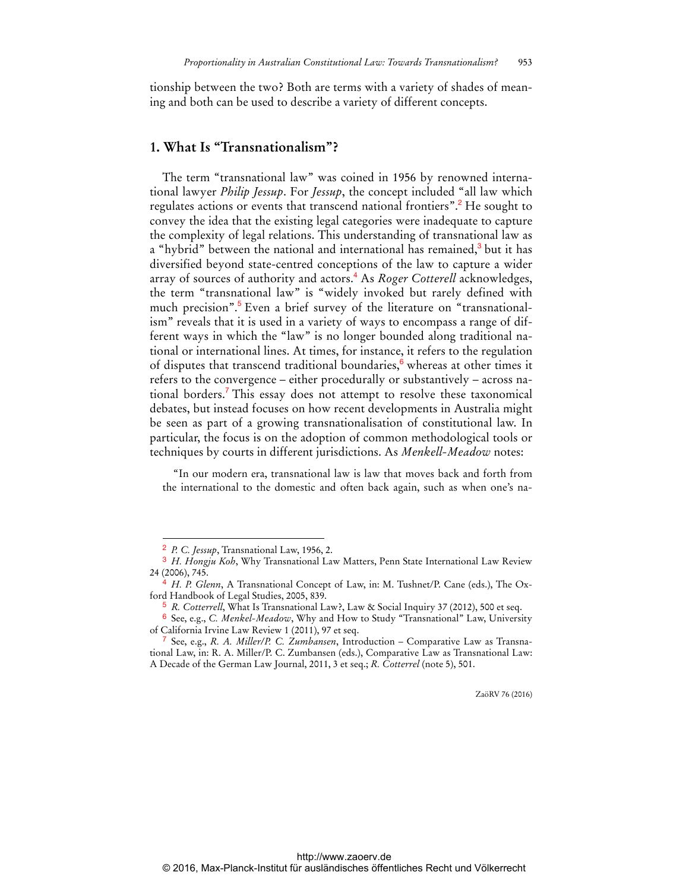tionship between the two? Both are terms with a variety of shades of meaning and both can be used to describe a variety of different concepts.

#### **1. What Is "Transnationalism"?**

The term "transnational law" was coined in 1956 by renowned international lawyer *Philip Jessup*. For *Jessup*, the concept included "all law which regulates actions or events that transcend national frontiers".<sup>2</sup> He sought to convey the idea that the existing legal categories were inadequate to capture the complexity of legal relations. This understanding of transnational law as a "hybrid" between the national and international has remained,<sup>3</sup> but it has diversified beyond state-centred conceptions of the law to capture a wider array of sources of authority and actors.<sup>4</sup> As *Roger Cotterell* acknowledges, the term "transnational law" is "widely invoked but rarely defined with much precision".<sup>5</sup> Even a brief survey of the literature on "transnationalism" reveals that it is used in a variety of ways to encompass a range of different ways in which the "law" is no longer bounded along traditional national or international lines. At times, for instance, it refers to the regulation of disputes that transcend traditional boundaries,<sup>6</sup> whereas at other times it refers to the convergence – either procedurally or substantively – across national borders.<sup>7</sup> This essay does not attempt to resolve these taxonomical debates, but instead focuses on how recent developments in Australia might be seen as part of a growing transnationalisation of constitutional law. In particular, the focus is on the adoption of common methodological tools or techniques by courts in different jurisdictions. As *Menkell-Meadow* notes:

"In our modern era, transnational law is law that moves back and forth from the international to the domestic and often back again, such as when one's na-

 $\overline{a}$ 

<sup>2</sup> *P. C. Jessup*, Transnational Law, 1956, 2.

<sup>3</sup> *H. Hongju Koh*, Why Transnational Law Matters, Penn State International Law Review 24 (2006), 745.

<sup>4</sup> *H. P. Glenn*, A Transnational Concept of Law, in: M. Tushnet/P. Cane (eds.), The Oxford Handbook of Legal Studies, 2005, 839.

<sup>5</sup> *R. Cotterrell*, What Is Transnational Law?, Law & Social Inquiry 37 (2012), 500 et seq.

<sup>6</sup> See, e.g., *C. Menkel-Meadow*, Why and How to Study "Transnational" Law, University of California Irvine Law Review 1 (2011), 97 et seq.

<sup>7</sup> See, e.g., *R. A. Miller/P. C. Zumbansen*, Introduction – Comparative Law as Transnational Law, in: R. A. Miller/P. C. Zumbansen (eds.), Comparative Law as Transnational Law: A Decade of the German Law Journal, 2011, 3 et seq.; *R. Cotterrel* (note 5), 501.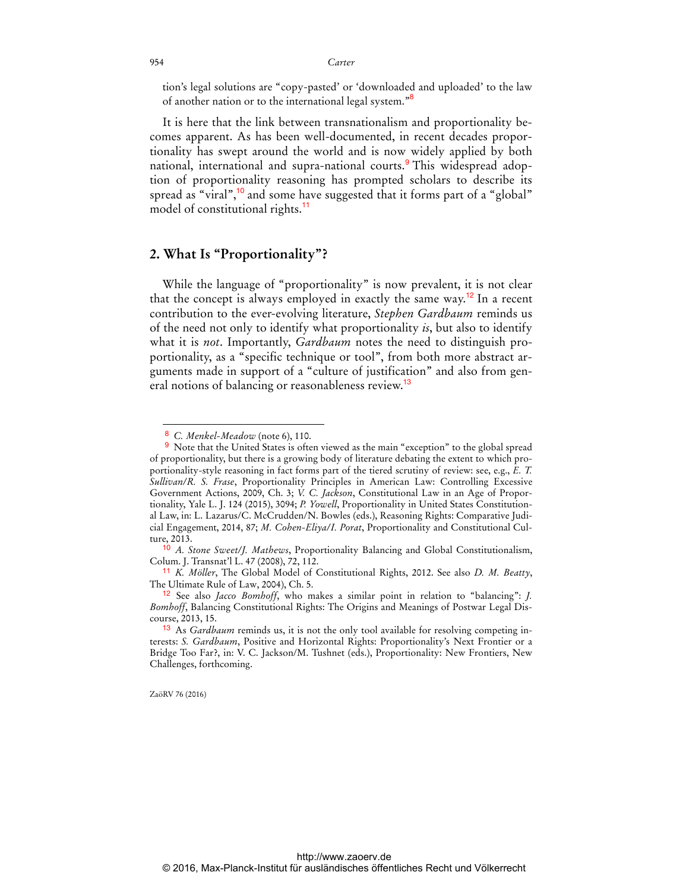tion's legal solutions are "copy-pasted' or 'downloaded and uploaded' to the law of another nation or to the international legal system."<sup>8</sup>

It is here that the link between transnationalism and proportionality becomes apparent. As has been well-documented, in recent decades proportionality has swept around the world and is now widely applied by both national, international and supra-national courts.<sup>9</sup> This widespread adoption of proportionality reasoning has prompted scholars to describe its spread as "viral",<sup>10</sup> and some have suggested that it forms part of a "global" model of constitutional rights.<sup>11</sup>

#### **2. What Is "Proportionality"?**

While the language of "proportionality" is now prevalent, it is not clear that the concept is always employed in exactly the same way.<sup>12</sup> In a recent contribution to the ever-evolving literature, *Stephen Gardbaum* reminds us of the need not only to identify what proportionality *is*, but also to identify what it is *not*. Importantly, *Gardbaum* notes the need to distinguish proportionality, as a "specific technique or tool", from both more abstract arguments made in support of a "culture of justification" and also from general notions of balancing or reasonableness review.<sup>13</sup>

ZaöRV 76 (2016)

<sup>8</sup> *C. Menkel-Meadow* (note 6), 110.

<sup>9</sup> Note that the United States is often viewed as the main "exception" to the global spread of proportionality, but there is a growing body of literature debating the extent to which proportionality-style reasoning in fact forms part of the tiered scrutiny of review: see, e.g., *E. T. Sullivan/R. S. Frase*, Proportionality Principles in American Law: Controlling Excessive Government Actions, 2009, Ch. 3; *V. C. Jackson*, Constitutional Law in an Age of Proportionality, Yale L. J. 124 (2015), 3094; *P. Yowell*, Proportionality in United States Constitutional Law, in: L. Lazarus/C. McCrudden/N. Bowles (eds.), Reasoning Rights: Comparative Judicial Engagement, 2014, 87; *M. Cohen-Eliya/I. Porat*, Proportionality and Constitutional Culture, 2013.

<sup>10</sup> *A. Stone Sweet/J. Mathews*, Proportionality Balancing and Global Constitutionalism, Colum. J. Transnat'l L. 47 (2008), 72, 112.

<sup>11</sup> *K. Möller*, The Global Model of Constitutional Rights, 2012. See also *D. M. Beatty*, The Ultimate Rule of Law, 2004), Ch. 5.

<sup>12</sup> See also *Jacco Bomhoff*, who makes a similar point in relation to "balancing": *J. Bomhoff*, Balancing Constitutional Rights: The Origins and Meanings of Postwar Legal Discourse, 2013, 15.

<sup>13</sup> As *Gardbaum* reminds us, it is not the only tool available for resolving competing interests: *S. Gardbaum*, Positive and Horizontal Rights: Proportionality's Next Frontier or a Bridge Too Far?, in: V. C. Jackson/M. Tushnet (eds.), Proportionality: New Frontiers, New Challenges, forthcoming.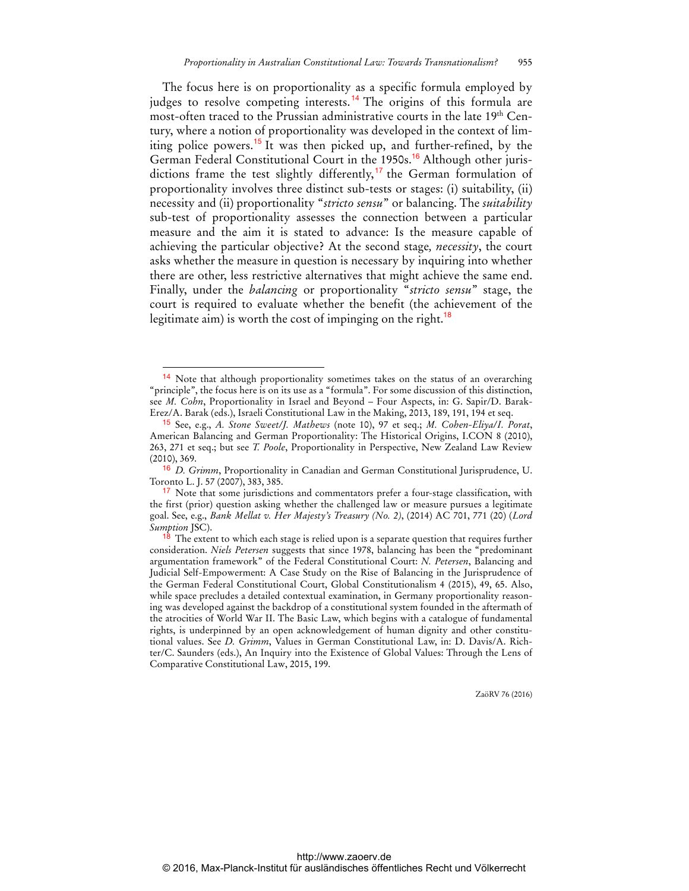The focus here is on proportionality as a specific formula employed by judges to resolve competing interests.<sup>14</sup> The origins of this formula are most-often traced to the Prussian administrative courts in the late 19th Century, where a notion of proportionality was developed in the context of limiting police powers.<sup>15</sup> It was then picked up, and further-refined, by the German Federal Constitutional Court in the 1950s.<sup>16</sup> Although other jurisdictions frame the test slightly differently,<sup>17</sup> the German formulation of proportionality involves three distinct sub-tests or stages: (i) suitability, (ii) necessity and (ii) proportionality "*stricto sensu*" or balancing. The *suitability* sub-test of proportionality assesses the connection between a particular measure and the aim it is stated to advance: Is the measure capable of achieving the particular objective? At the second stage*, necessity*, the court asks whether the measure in question is necessary by inquiring into whether there are other, less restrictive alternatives that might achieve the same end. Finally, under the *balancing* or proportionality "*stricto sensu*" stage, the court is required to evaluate whether the benefit (the achievement of the legitimate aim) is worth the cost of impinging on the right.<sup>18</sup>

 $\overline{a}$ 

Note that although proportionality sometimes takes on the status of an overarching "principle", the focus here is on its use as a "formula". For some discussion of this distinction, see *M. Cohn*, Proportionality in Israel and Beyond – Four Aspects, in: G. Sapir/D. Barak-Erez/A. Barak (eds.), Israeli Constitutional Law in the Making, 2013, 189, 191, 194 et seq.

<sup>15</sup> See, e.g., *A. Stone Sweet/J. Mathews* (note 10), 97 et seq.; *M. Cohen-Eliya/I. Porat*, American Balancing and German Proportionality: The Historical Origins, I.CON 8 (2010), 263, 271 et seq.; but see *T. Poole*, Proportionality in Perspective, New Zealand Law Review (2010), 369.

<sup>16</sup> *D. Grimm*, Proportionality in Canadian and German Constitutional Jurisprudence, U. Toronto L. J. 57 (2007), 383, 385.

<sup>&</sup>lt;sup>17</sup> Note that some jurisdictions and commentators prefer a four-stage classification, with the first (prior) question asking whether the challenged law or measure pursues a legitimate goal. See, e.g., *Bank Mellat v. Her Majesty's Treasury (No. 2)*, (2014) AC 701, 771 (20) (*Lord Sumption* JSC).

 $18$  The extent to which each stage is relied upon is a separate question that requires further consideration. *Niels Petersen* suggests that since 1978, balancing has been the "predominant argumentation framework" of the Federal Constitutional Court: *N. Petersen*, Balancing and Judicial Self-Empowerment: A Case Study on the Rise of Balancing in the Jurisprudence of the German Federal Constitutional Court, Global Constitutionalism 4 (2015), 49, 65. Also, while space precludes a detailed contextual examination, in Germany proportionality reasoning was developed against the backdrop of a constitutional system founded in the aftermath of the atrocities of World War II. The Basic Law, which begins with a catalogue of fundamental rights, is underpinned by an open acknowledgement of human dignity and other constitutional values. See *D. Grimm*, Values in German Constitutional Law, in: D. Davis/A. Richter/C. Saunders (eds.), An Inquiry into the Existence of Global Values: Through the Lens of Comparative Constitutional Law, 2015, 199.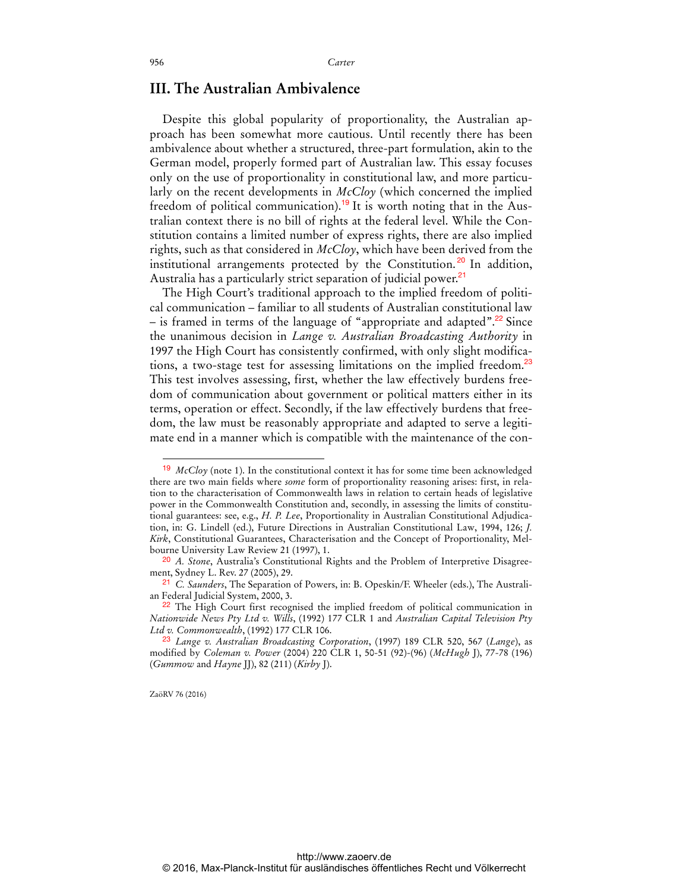#### **III. The Australian Ambivalence**

Despite this global popularity of proportionality, the Australian approach has been somewhat more cautious. Until recently there has been ambivalence about whether a structured, three-part formulation, akin to the German model, properly formed part of Australian law. This essay focuses only on the use of proportionality in constitutional law, and more particularly on the recent developments in *McCloy* (which concerned the implied freedom of political communication).<sup>19</sup> It is worth noting that in the Australian context there is no bill of rights at the federal level. While the Constitution contains a limited number of express rights, there are also implied rights, such as that considered in *McCloy*, which have been derived from the institutional arrangements protected by the Constitution.<sup>20</sup> In addition, Australia has a particularly strict separation of judicial power.<sup>21</sup>

The High Court's traditional approach to the implied freedom of political communication – familiar to all students of Australian constitutional law – is framed in terms of the language of "appropriate and adapted".<sup>22</sup> Since the unanimous decision in *Lange v. Australian Broadcasting Authority* in 1997 the High Court has consistently confirmed, with only slight modifications, a two-stage test for assessing limitations on the implied freedom.<sup>23</sup> This test involves assessing, first, whether the law effectively burdens freedom of communication about government or political matters either in its terms, operation or effect. Secondly, if the law effectively burdens that freedom, the law must be reasonably appropriate and adapted to serve a legitimate end in a manner which is compatible with the maintenance of the con-

ZaöRV 76 (2016)

<sup>19</sup> *McCloy* (note 1). In the constitutional context it has for some time been acknowledged there are two main fields where *some* form of proportionality reasoning arises: first, in relation to the characterisation of Commonwealth laws in relation to certain heads of legislative power in the Commonwealth Constitution and, secondly, in assessing the limits of constitutional guarantees: see, e.g., *H. P. Lee*, Proportionality in Australian Constitutional Adjudication, in: G. Lindell (ed.), Future Directions in Australian Constitutional Law, 1994, 126; *J. Kirk*, Constitutional Guarantees, Characterisation and the Concept of Proportionality, Melbourne University Law Review 21 (1997), 1.

<sup>20</sup> *A. Stone*, Australia's Constitutional Rights and the Problem of Interpretive Disagreement, Sydney L. Rev. 27 (2005), 29.

<sup>21</sup> *C. Saunders*, The Separation of Powers, in: B. Opeskin/F. Wheeler (eds.), The Australian Federal Judicial System, 2000, 3.

 $22$  The High Court first recognised the implied freedom of political communication in *Nationwide News Pty Ltd v. Wills*, (1992) 177 CLR 1 and *Australian Capital Television Pty Ltd v. Commonwealth*, (1992) 177 CLR 106.

<sup>23</sup> *Lange v. Australian Broadcasting Corporation*, (1997) 189 CLR 520, 567 (*Lange*), as modified by *Coleman v. Power* (2004) 220 CLR 1, 50-51 (92)-(96) (*McHugh* J), 77-78 (196) (*Gummow* and *Hayne* JJ), 82 (211) (*Kirby* J).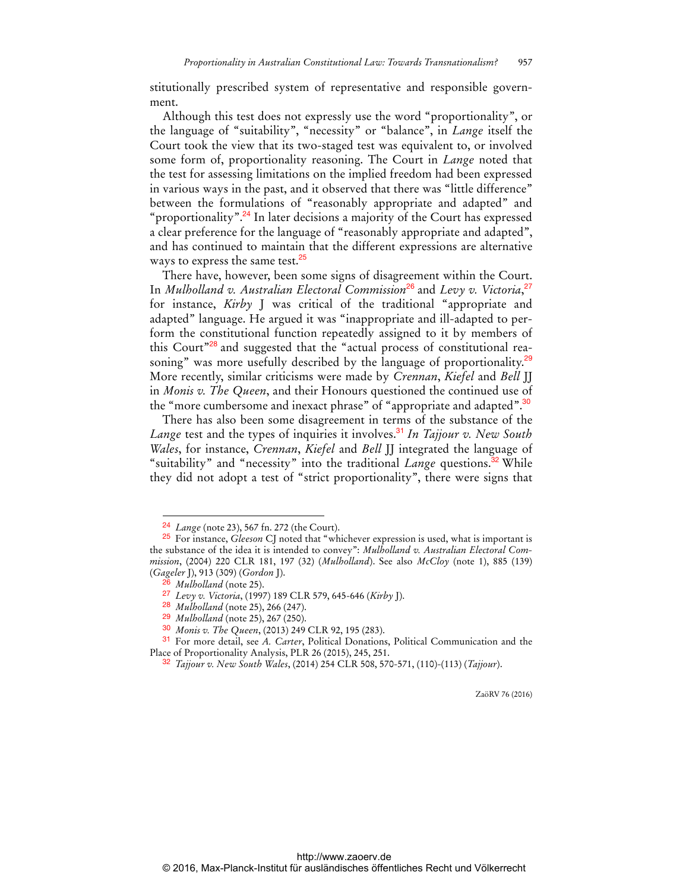stitutionally prescribed system of representative and responsible government.

Although this test does not expressly use the word "proportionality", or the language of "suitability", "necessity" or "balance", in *Lange* itself the Court took the view that its two-staged test was equivalent to, or involved some form of, proportionality reasoning. The Court in *Lange* noted that the test for assessing limitations on the implied freedom had been expressed in various ways in the past, and it observed that there was "little difference" between the formulations of "reasonably appropriate and adapted" and "proportionality".<sup>24</sup> In later decisions a majority of the Court has expressed a clear preference for the language of "reasonably appropriate and adapted", and has continued to maintain that the different expressions are alternative ways to express the same test.<sup>25</sup>

There have, however, been some signs of disagreement within the Court. In *Mulholland v. Australian Electoral Commission*<sup>26</sup> and *Levy v. Victoria*, 27 for instance, *Kirby* J was critical of the traditional "appropriate and adapted" language. He argued it was "inappropriate and ill-adapted to perform the constitutional function repeatedly assigned to it by members of this Court<sup>"28</sup> and suggested that the "actual process of constitutional reasoning" was more usefully described by the language of proportionality.<sup>29</sup> More recently, similar criticisms were made by *Crennan*, *Kiefel* and *Bell* JJ in *Monis v. The Queen*, and their Honours questioned the continued use of the "more cumbersome and inexact phrase" of "appropriate and adapted".<sup>30</sup>

There has also been some disagreement in terms of the substance of the *Lange* test and the types of inquiries it involves.<sup>31</sup> In Tajjour v. New South *Wales*, for instance, *Crennan*, *Kiefel* and *Bell* JJ integrated the language of "suitability" and "necessity" into the traditional *Lange* questions.<sup>32</sup> While they did not adopt a test of "strict proportionality", there were signs that

 $\overline{a}$ 

<sup>24</sup> *Lange* (note 23), 567 fn. 272 (the Court).

<sup>25</sup> For instance, *Gleeson* CJ noted that "whichever expression is used, what is important is the substance of the idea it is intended to convey": *Mulholland v. Australian Electoral Commission*, (2004) 220 CLR 181, 197 (32) (*Mulholland*). See also *McCloy* (note 1), 885 (139) (*Gageler* J), 913 (309) (*Gordon* J).

<sup>26</sup> *Mulholland* (note 25).

<sup>27</sup> *Levy v. Victoria*, (1997) 189 CLR 579, 645-646 (*Kirby* J).

<sup>28</sup> *Mulholland* (note 25), 266 (247).

<sup>29</sup> *Mulholland* (note 25), 267 (250).

<sup>30</sup> *Monis v. The Queen*, (2013) 249 CLR 92, 195 (283).

<sup>31</sup> For more detail, see *A. Carter*, Political Donations, Political Communication and the Place of Proportionality Analysis, PLR 26 (2015), 245, 251.

<sup>32</sup> *Tajjour v. New South Wales*, (2014) 254 CLR 508, 570-571, (110)-(113) (*Tajjour*).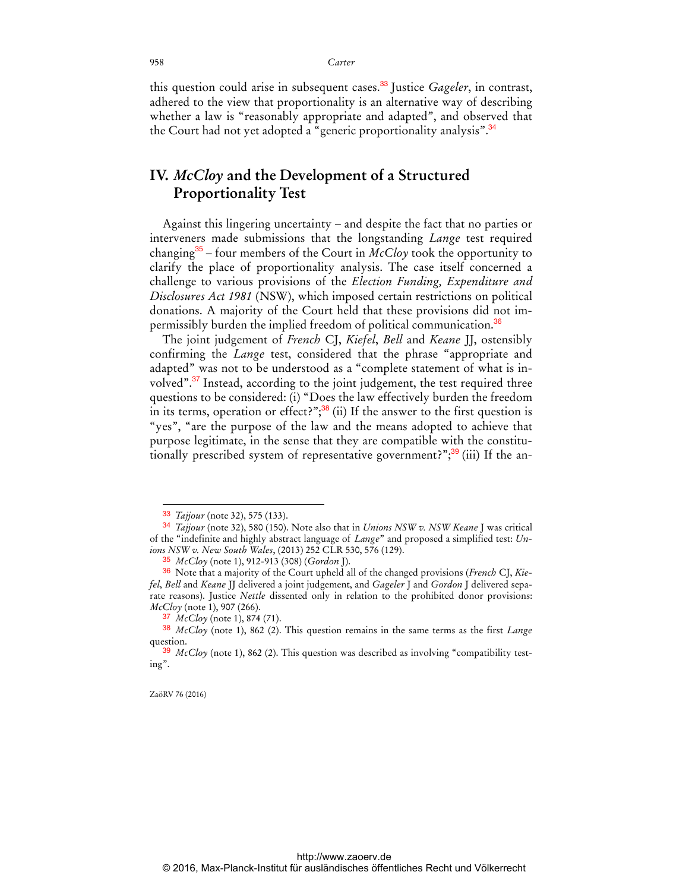this question could arise in subsequent cases.<sup>33</sup> Justice *Gageler*, in contrast, adhered to the view that proportionality is an alternative way of describing whether a law is "reasonably appropriate and adapted", and observed that the Court had not yet adopted a "generic proportionality analysis".<sup>34</sup>

## **IV.** *McCloy* **and the Development of a Structured Proportionality Test**

Against this lingering uncertainty – and despite the fact that no parties or interveners made submissions that the longstanding *Lange* test required changing<sup>35</sup> – four members of the Court in  $McCloy$  took the opportunity to clarify the place of proportionality analysis. The case itself concerned a challenge to various provisions of the *Election Funding, Expenditure and Disclosures Act 1981* (NSW), which imposed certain restrictions on political donations. A majority of the Court held that these provisions did not impermissibly burden the implied freedom of political communication.<sup>36</sup>

The joint judgement of *French* CJ, *Kiefel*, *Bell* and *Keane* JJ, ostensibly confirming the *Lange* test, considered that the phrase "appropriate and adapted" was not to be understood as a "complete statement of what is involved".<sup>37</sup> Instead, according to the joint judgement, the test required three questions to be considered: (i) "Does the law effectively burden the freedom in its terms, operation or effect?"; $38$  (ii) If the answer to the first question is "yes", "are the purpose of the law and the means adopted to achieve that purpose legitimate, in the sense that they are compatible with the constitutionally prescribed system of representative government?";<sup>39</sup> (iii) If the an-

ZaöRV 76 (2016)

<sup>33</sup> *Tajjour* (note 32), 575 (133).

<sup>34</sup> *Tajjour* (note 32), 580 (150). Note also that in *Unions NSW v. NSW Keane* J was critical of the "indefinite and highly abstract language of *Lange*" and proposed a simplified test: *Unions NSW v. New South Wales*, (2013) 252 CLR 530, 576 (129).

<sup>35</sup> *McCloy* (note 1), 912-913 (308) (*Gordon* J).

<sup>36</sup> Note that a majority of the Court upheld all of the changed provisions (*French* CJ, *Kiefel*, *Bell* and *Keane* JJ delivered a joint judgement, and *Gageler* J and *Gordon* J delivered separate reasons). Justice *Nettle* dissented only in relation to the prohibited donor provisions: *McCloy* (note 1), 907 (266).

<sup>37</sup> *McCloy* (note 1), 874 (71).

<sup>38</sup> *McCloy* (note 1), 862 (2). This question remains in the same terms as the first *Lange* question.

<sup>39</sup> *McCloy* (note 1), 862 (2). This question was described as involving "compatibility testing".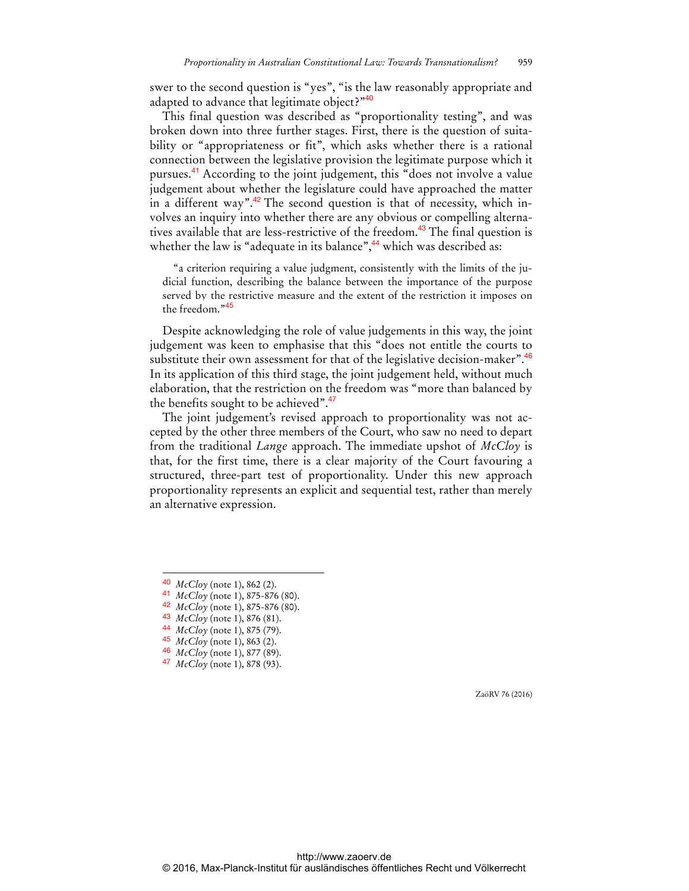swer to the second question is "yes", "is the law reasonably appropriate and adapted to advance that legitimate object?"40

This final question was described as "proportionality testing", and was broken down into three further stages. First, there is the question of suitability or "appropriateness or fit", which asks whether there is a rational connection between the legislative provision the legitimate purpose which it pursues.<sup>41</sup> According to the joint judgement, this "does not involve a value judgement about whether the legislature could have approached the matter in a different way".<sup>42</sup> The second question is that of necessity, which involves an inquiry into whether there are any obvious or compelling alternatives available that are less-restrictive of the freedom.<sup>43</sup> The final question is whether the law is "adequate in its balance", $44$  which was described as:

"a criterion requiring a value judgment, consistently with the limits of the judicial function, describing the balance between the importance of the purpose served by the restrictive measure and the extent of the restriction it imposes on the freedom."<sup>45</sup>

Despite acknowledging the role of value judgements in this way, the joint judgement was keen to emphasise that this "does not entitle the courts to substitute their own assessment for that of the legislative decision-maker". $46$ In its application of this third stage, the joint judgement held, without much elaboration, that the restriction on the freedom was "more than balanced by the benefits sought to be achieved".<sup>47</sup>

The joint judgement's revised approach to proportionality was not accepted by the other three members of the Court, who saw no need to depart from the traditional *Lange* approach. The immediate upshot of *McCloy* is that, for the first time, there is a clear majority of the Court favouring a structured, three-part test of proportionality. Under this new approach proportionality represents an explicit and sequential test, rather than merely an alternative expression.

 $\overline{a}$ 

42 *McCloy* (note 1), 875-876 (80).

<sup>40</sup> *McCloy* (note 1), 862 (2).

<sup>41</sup> *McCloy* (note 1), 875-876 (80).

<sup>43</sup> *McCloy* (note 1), 876 (81).

<sup>44</sup> *McCloy* (note 1), 875 (79).

<sup>45</sup> *McCloy* (note 1), 863 (2).

<sup>46</sup> *McCloy* (note 1), 877 (89).

<sup>47</sup> *McCloy* (note 1), 878 (93).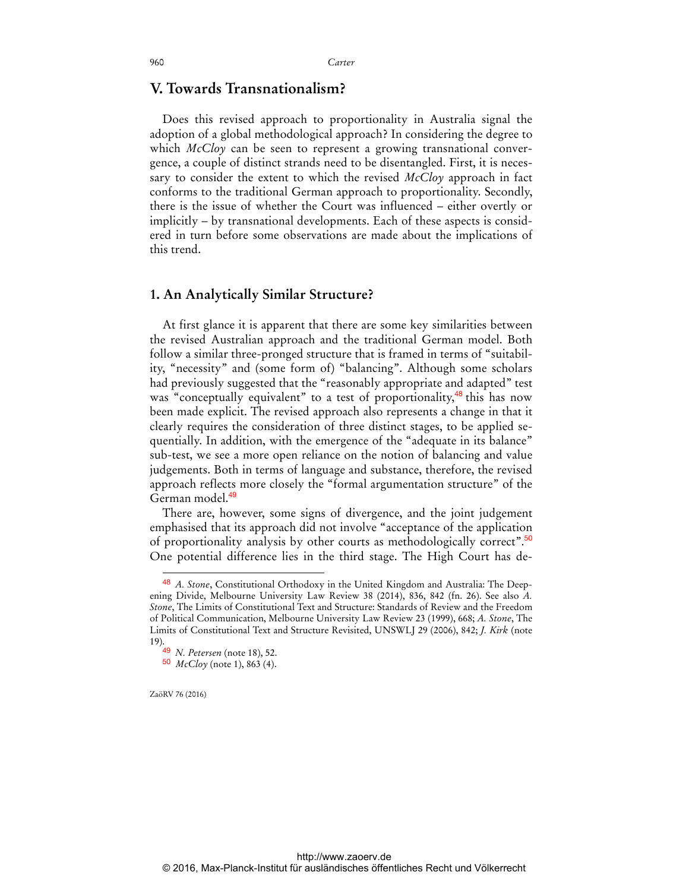### **V. Towards Transnationalism?**

Does this revised approach to proportionality in Australia signal the adoption of a global methodological approach? In considering the degree to which *McCloy* can be seen to represent a growing transnational convergence, a couple of distinct strands need to be disentangled. First, it is necessary to consider the extent to which the revised *McCloy* approach in fact conforms to the traditional German approach to proportionality. Secondly, there is the issue of whether the Court was influenced – either overtly or implicitly – by transnational developments. Each of these aspects is considered in turn before some observations are made about the implications of this trend.

#### **1. An Analytically Similar Structure?**

At first glance it is apparent that there are some key similarities between the revised Australian approach and the traditional German model. Both follow a similar three-pronged structure that is framed in terms of "suitability, "necessity" and (some form of) "balancing". Although some scholars had previously suggested that the "reasonably appropriate and adapted" test was "conceptually equivalent" to a test of proportionality,<sup>48</sup> this has now been made explicit. The revised approach also represents a change in that it clearly requires the consideration of three distinct stages, to be applied sequentially. In addition, with the emergence of the "adequate in its balance" sub-test, we see a more open reliance on the notion of balancing and value judgements. Both in terms of language and substance, therefore, the revised approach reflects more closely the "formal argumentation structure" of the German model.<sup>49</sup>

There are, however, some signs of divergence, and the joint judgement emphasised that its approach did not involve "acceptance of the application of proportionality analysis by other courts as methodologically correct".<sup>50</sup> One potential difference lies in the third stage. The High Court has de-

<sup>48</sup> *A. Stone*, Constitutional Orthodoxy in the United Kingdom and Australia: The Deepening Divide, Melbourne University Law Review 38 (2014), 836, 842 (fn. 26). See also *A. Stone*, The Limits of Constitutional Text and Structure: Standards of Review and the Freedom of Political Communication, Melbourne University Law Review 23 (1999), 668; *A. Stone*, The Limits of Constitutional Text and Structure Revisited, UNSWLJ 29 (2006), 842; *J. Kirk* (note 19).

<sup>49</sup> *N. Petersen* (note 18), 52.

<sup>50</sup> *McCloy* (note 1), 863 (4).

ZaöRV 76 (2016)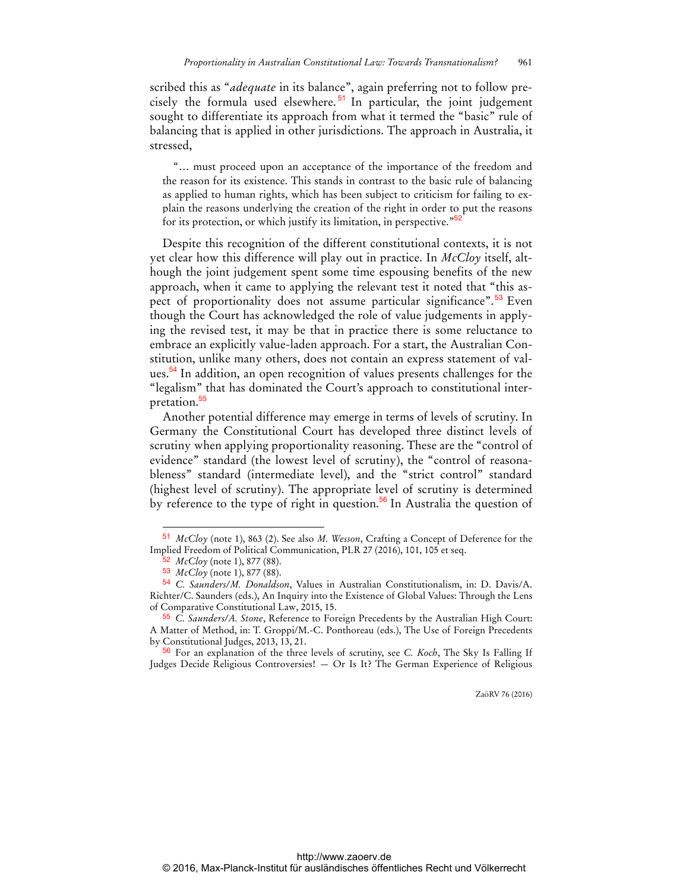scribed this as "*adequate* in its balance", again preferring not to follow precisely the formula used elsewhere. <sup>51</sup> In particular, the joint judgement sought to differentiate its approach from what it termed the "basic" rule of balancing that is applied in other jurisdictions. The approach in Australia, it stressed,

"… must proceed upon an acceptance of the importance of the freedom and the reason for its existence. This stands in contrast to the basic rule of balancing as applied to human rights, which has been subject to criticism for failing to explain the reasons underlying the creation of the right in order to put the reasons for its protection, or which justify its limitation, in perspective."<sup>52</sup>

Despite this recognition of the different constitutional contexts, it is not yet clear how this difference will play out in practice. In *McCloy* itself, although the joint judgement spent some time espousing benefits of the new approach, when it came to applying the relevant test it noted that "this aspect of proportionality does not assume particular significance".<sup>53</sup> Even though the Court has acknowledged the role of value judgements in applying the revised test, it may be that in practice there is some reluctance to embrace an explicitly value-laden approach. For a start, the Australian Constitution, unlike many others, does not contain an express statement of values.<sup>54</sup> In addition, an open recognition of values presents challenges for the "legalism" that has dominated the Court's approach to constitutional interpretation.<sup>55</sup>

Another potential difference may emerge in terms of levels of scrutiny. In Germany the Constitutional Court has developed three distinct levels of scrutiny when applying proportionality reasoning. These are the "control of evidence" standard (the lowest level of scrutiny), the "control of reasonableness" standard (intermediate level), and the "strict control" standard (highest level of scrutiny). The appropriate level of scrutiny is determined by reference to the type of right in question.<sup>56</sup> In Australia the question of

 $\overline{a}$ 

56 For an explanation of the three levels of scrutiny, see *C. Koch*, The Sky Is Falling If Judges Decide Religious Controversies! — Or Is It? The German Experience of Religious

<sup>51</sup> *McCloy* (note 1), 863 (2). See also *M. Wesson*, Crafting a Concept of Deference for the Implied Freedom of Political Communication, PLR 27 (2016), 101, 105 et seq.

<sup>52</sup> *McCloy* (note 1), 877 (88).

<sup>53</sup> *McCloy* (note 1), 877 (88).

<sup>54</sup> *C. Saunders/M. Donaldson*, Values in Australian Constitutionalism, in: D. Davis/A. Richter/C. Saunders (eds.), An Inquiry into the Existence of Global Values: Through the Lens of Comparative Constitutional Law, 2015, 15.

<sup>55</sup> *C. Saunders/A. Stone*, Reference to Foreign Precedents by the Australian High Court: A Matter of Method, in: T. Groppi/M.-C. Ponthoreau (eds.), The Use of Foreign Precedents by Constitutional Judges, 2013, 13, 21.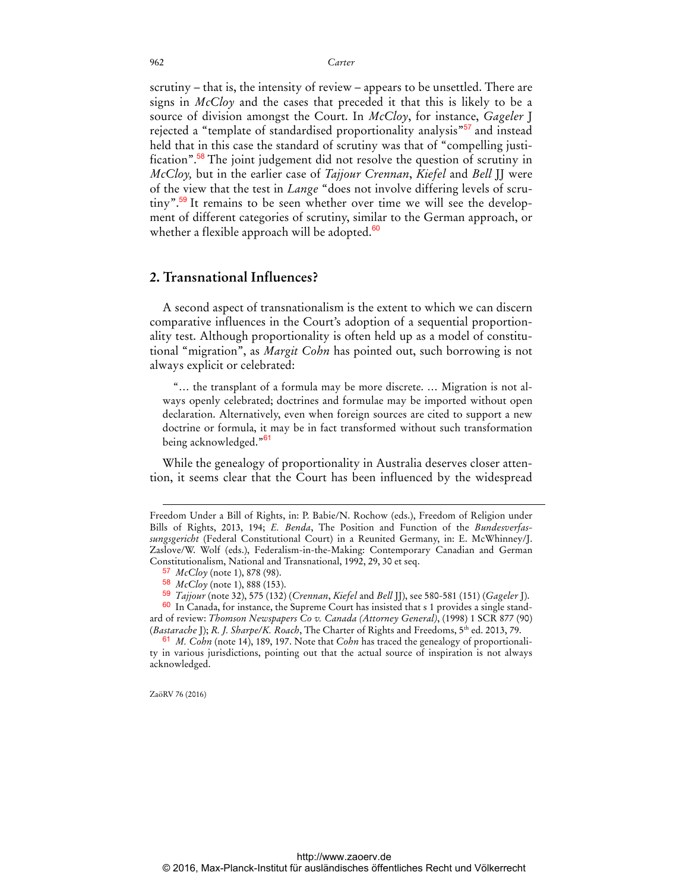scrutiny – that is, the intensity of review – appears to be unsettled. There are signs in *McCloy* and the cases that preceded it that this is likely to be a source of division amongst the Court. In *McCloy*, for instance, *Gageler* J rejected a "template of standardised proportionality analysis"<sup>57</sup> and instead held that in this case the standard of scrutiny was that of "compelling justification".<sup>58</sup> The joint judgement did not resolve the question of scrutiny in *McCloy,* but in the earlier case of *Tajjour Crennan*, *Kiefel* and *Bell* JJ were of the view that the test in *Lange* "does not involve differing levels of scrutiny".<sup>59</sup> It remains to be seen whether over time we will see the development of different categories of scrutiny, similar to the German approach, or whether a flexible approach will be adopted.<sup>60</sup>

#### **2. Transnational Influences?**

A second aspect of transnationalism is the extent to which we can discern comparative influences in the Court's adoption of a sequential proportionality test. Although proportionality is often held up as a model of constitutional "migration", as *Margit Cohn* has pointed out, such borrowing is not always explicit or celebrated:

"… the transplant of a formula may be more discrete. … Migration is not always openly celebrated; doctrines and formulae may be imported without open declaration. Alternatively, even when foreign sources are cited to support a new doctrine or formula, it may be in fact transformed without such transformation being acknowledged."<sup>61</sup>

While the genealogy of proportionality in Australia deserves closer attention, it seems clear that the Court has been influenced by the widespread

ZaöRV 76 (2016)

Freedom Under a Bill of Rights, in: P. Babie/N. Rochow (eds.), Freedom of Religion under Bills of Rights, 2013, 194; *E. Benda*, The Position and Function of the *Bundesverfassungsgericht* (Federal Constitutional Court) in a Reunited Germany, in: E. McWhinney/J. Zaslove/W. Wolf (eds.), Federalism-in-the-Making: Contemporary Canadian and German Constitutionalism, National and Transnational, 1992, 29, 30 et seq.

<sup>57</sup> *McCloy* (note 1), 878 (98).

<sup>58</sup> *McCloy* (note 1), 888 (153).

<sup>59</sup> *Tajjour* (note 32), 575 (132) (*Crennan*, *Kiefel* and *Bell* JJ), see 580-581 (151) (*Gageler* J).

<sup>60</sup> In Canada, for instance, the Supreme Court has insisted that s 1 provides a single standard of review: *Thomson Newspapers Co v. Canada (Attorney General)*, (1998) 1 SCR 877 (90) (*Bastarache* J); *R. J. Sharpe/K. Roach*, The Charter of Rights and Freedoms, 5<sup>th</sup> ed. 2013, 79.

<sup>61</sup> *M. Cohn* (note 14), 189, 197. Note that *Cohn* has traced the genealogy of proportionality in various jurisdictions, pointing out that the actual source of inspiration is not always acknowledged.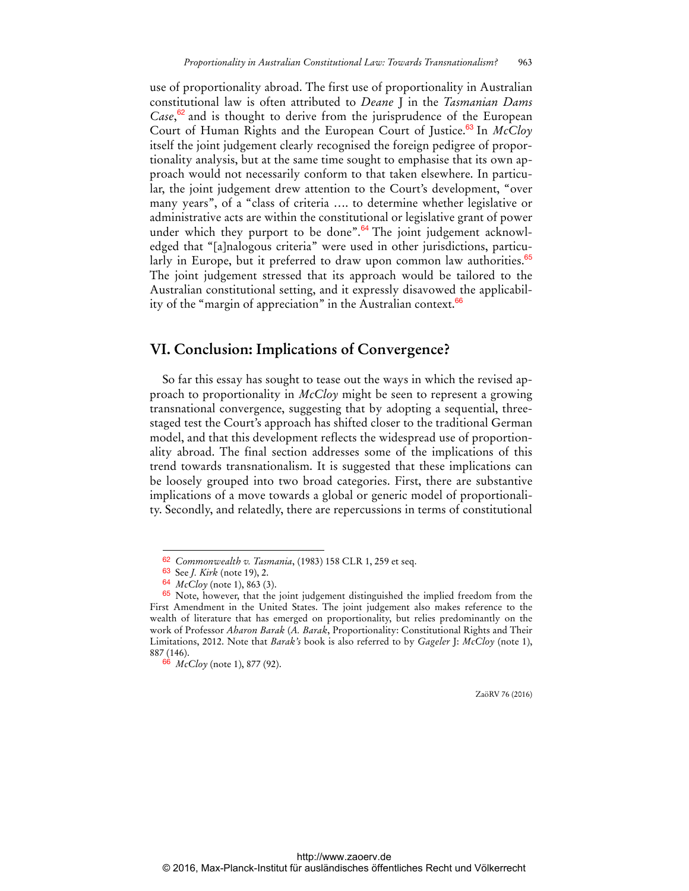use of proportionality abroad. The first use of proportionality in Australian constitutional law is often attributed to *Deane* J in the *Tasmanian Dams*  Case,<sup>62</sup> and is thought to derive from the jurisprudence of the European Court of Human Rights and the European Court of Justice.<sup>63</sup> In *McCloy* itself the joint judgement clearly recognised the foreign pedigree of proportionality analysis, but at the same time sought to emphasise that its own approach would not necessarily conform to that taken elsewhere. In particular, the joint judgement drew attention to the Court's development, "over many years", of a "class of criteria …. to determine whether legislative or administrative acts are within the constitutional or legislative grant of power under which they purport to be done". $64$  The joint judgement acknowledged that "[a]nalogous criteria" were used in other jurisdictions, particularly in Europe, but it preferred to draw upon common law authorities.<sup>65</sup> The joint judgement stressed that its approach would be tailored to the Australian constitutional setting, and it expressly disavowed the applicability of the "margin of appreciation" in the Australian context.<sup>66</sup>

#### **VI. Conclusion: Implications of Convergence?**

So far this essay has sought to tease out the ways in which the revised approach to proportionality in *McCloy* might be seen to represent a growing transnational convergence, suggesting that by adopting a sequential, threestaged test the Court's approach has shifted closer to the traditional German model, and that this development reflects the widespread use of proportionality abroad. The final section addresses some of the implications of this trend towards transnationalism. It is suggested that these implications can be loosely grouped into two broad categories. First, there are substantive implications of a move towards a global or generic model of proportionality. Secondly, and relatedly, there are repercussions in terms of constitutional

 $\overline{a}$ 

<sup>62</sup> *Commonwealth v. Tasmania*, (1983) 158 CLR 1, 259 et seq.

<sup>63</sup> See *J. Kirk* (note 19), 2.

<sup>64</sup> *McCloy* (note 1), 863 (3).

<sup>&</sup>lt;sup>65</sup> Note, however, that the joint judgement distinguished the implied freedom from the First Amendment in the United States. The joint judgement also makes reference to the wealth of literature that has emerged on proportionality, but relies predominantly on the work of Professor *Aharon Barak* (*A. Barak*, Proportionality: Constitutional Rights and Their Limitations, 2012. Note that *Barak's* book is also referred to by *Gageler* J: *McCloy* (note 1), 887 (146).

<sup>66</sup> *McCloy* (note 1), 877 (92).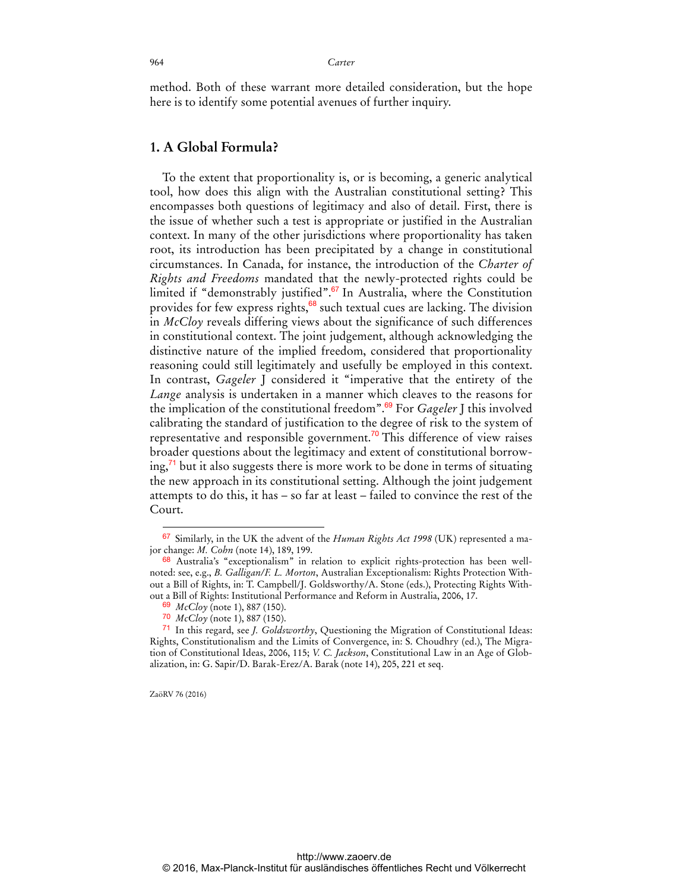method. Both of these warrant more detailed consideration, but the hope here is to identify some potential avenues of further inquiry.

#### **1. A Global Formula?**

To the extent that proportionality is, or is becoming, a generic analytical tool, how does this align with the Australian constitutional setting? This encompasses both questions of legitimacy and also of detail. First, there is the issue of whether such a test is appropriate or justified in the Australian context. In many of the other jurisdictions where proportionality has taken root, its introduction has been precipitated by a change in constitutional circumstances. In Canada, for instance, the introduction of the *Charter of Rights and Freedoms* mandated that the newly-protected rights could be limited if "demonstrably justified".<sup>67</sup> In Australia, where the Constitution provides for few express rights, $68$  such textual cues are lacking. The division in *McCloy* reveals differing views about the significance of such differences in constitutional context. The joint judgement, although acknowledging the distinctive nature of the implied freedom, considered that proportionality reasoning could still legitimately and usefully be employed in this context. In contrast, *Gageler* J considered it "imperative that the entirety of the *Lange* analysis is undertaken in a manner which cleaves to the reasons for the implication of the constitutional freedom".<sup>69</sup> For *Gageler* J this involved calibrating the standard of justification to the degree of risk to the system of representative and responsible government.<sup>70</sup> This difference of view raises broader questions about the legitimacy and extent of constitutional borrowing, $\frac{71}{1}$  but it also suggests there is more work to be done in terms of situating the new approach in its constitutional setting. Although the joint judgement attempts to do this, it has – so far at least – failed to convince the rest of the Court.

ZaöRV 76 (2016)

<sup>67</sup> Similarly, in the UK the advent of the *Human Rights Act 1998* (UK) represented a major change: *M. Cohn* (note 14), 189, 199.

<sup>&</sup>lt;sup>68</sup> Australia's "exceptionalism" in relation to explicit rights-protection has been wellnoted: see, e.g., *B. Galligan/F. L. Morton*, Australian Exceptionalism: Rights Protection Without a Bill of Rights, in: T. Campbell/J. Goldsworthy/A. Stone (eds.), Protecting Rights Without a Bill of Rights: Institutional Performance and Reform in Australia, 2006, 17.

<sup>69</sup> *McCloy* (note 1), 887 (150).

<sup>70</sup> *McCloy* (note 1), 887 (150).

<sup>71</sup> In this regard, see *J. Goldsworthy*, Questioning the Migration of Constitutional Ideas: Rights, Constitutionalism and the Limits of Convergence, in: S. Choudhry (ed.), The Migration of Constitutional Ideas, 2006, 115; *V. C. Jackson*, Constitutional Law in an Age of Globalization, in: G. Sapir/D. Barak-Erez/A. Barak (note 14), 205, 221 et seq.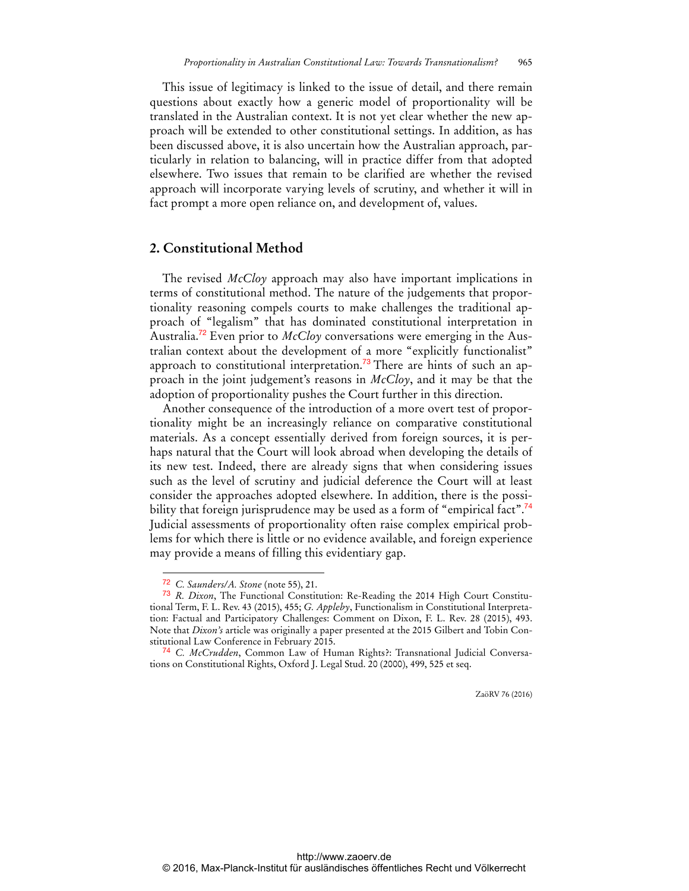This issue of legitimacy is linked to the issue of detail, and there remain questions about exactly how a generic model of proportionality will be translated in the Australian context. It is not yet clear whether the new approach will be extended to other constitutional settings. In addition, as has been discussed above, it is also uncertain how the Australian approach, particularly in relation to balancing, will in practice differ from that adopted elsewhere. Two issues that remain to be clarified are whether the revised approach will incorporate varying levels of scrutiny, and whether it will in fact prompt a more open reliance on, and development of, values.

#### **2. Constitutional Method**

The revised *McCloy* approach may also have important implications in terms of constitutional method. The nature of the judgements that proportionality reasoning compels courts to make challenges the traditional approach of "legalism" that has dominated constitutional interpretation in Australia.72 Even prior to *McCloy* conversations were emerging in the Australian context about the development of a more "explicitly functionalist" approach to constitutional interpretation.<sup>73</sup> There are hints of such an approach in the joint judgement's reasons in *McCloy*, and it may be that the adoption of proportionality pushes the Court further in this direction.

Another consequence of the introduction of a more overt test of proportionality might be an increasingly reliance on comparative constitutional materials. As a concept essentially derived from foreign sources, it is perhaps natural that the Court will look abroad when developing the details of its new test. Indeed, there are already signs that when considering issues such as the level of scrutiny and judicial deference the Court will at least consider the approaches adopted elsewhere. In addition, there is the possibility that foreign jurisprudence may be used as a form of "empirical fact".<sup>74</sup> Judicial assessments of proportionality often raise complex empirical problems for which there is little or no evidence available, and foreign experience may provide a means of filling this evidentiary gap.

 $\overline{a}$ 

<sup>72</sup> *C. Saunders/A. Stone* (note 55), 21.

<sup>73</sup> *R. Dixon*, The Functional Constitution: Re-Reading the 2014 High Court Constitutional Term, F. L. Rev. 43 (2015), 455; *G. Appleby*, Functionalism in Constitutional Interpretation: Factual and Participatory Challenges: Comment on Dixon, F. L. Rev. 28 (2015), 493. Note that *Dixon's* article was originally a paper presented at the 2015 Gilbert and Tobin Constitutional Law Conference in February 2015.

<sup>74</sup> *C. McCrudden*, Common Law of Human Rights?: Transnational Judicial Conversations on Constitutional Rights, Oxford J. Legal Stud. 20 (2000), 499, 525 et seq.